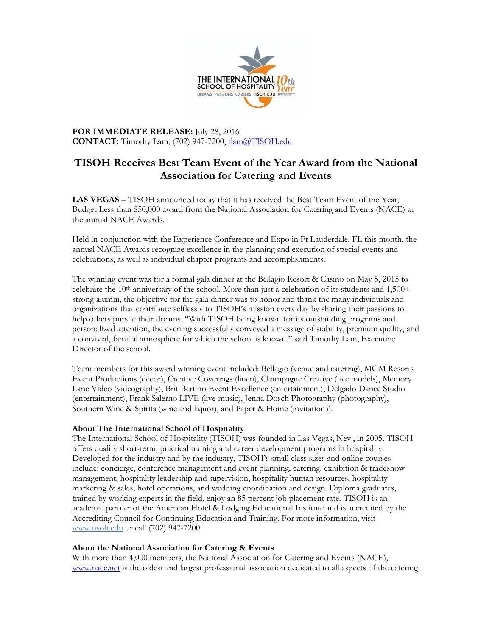

**FOR IMMEDIATE RELEASE:** July 28, 2016 **CONTACT:** Timothy Lam, (702) 947-7200, tlam@TISOH.edu

## **TISOH Receives Best Team Event of the Year Award from the National Association for Catering and Events**

**LAS VEGAS** – TISOH announced today that it has received the Best Team Event of the Year, Budget Less than \$50,000 award from the National Association for Catering and Events (NACE) at the annual NACE Awards.

Held in conjunction with the Experience Conference and Expo in Ft Lauderdale, FL this month, the annual NACE Awards recognize excellence in the planning and execution of special events and celebrations, as well as individual chapter programs and accomplishments.

The winning event was for a formal gala dinner at the Bellagio Resort & Casino on May 5, 2015 to celebrate the  $10<sup>th</sup>$  anniversary of the school. More than just a celebration of its students and  $1,500+$ strong alumni, the objective for the gala dinner was to honor and thank the many individuals and organizations that contribute selflessly to TISOH's mission every day by sharing their passions to help others pursue their dreams. "With TISOH being known for its outstanding programs and personalized attention, the evening successfully conveyed a message of stability, premium quality, and a convivial, familial atmosphere for which the school is known." said Timothy Lam, Executive Director of the school.

Team members for this award winning event included: Bellagio (venue and catering), MGM Resorts Event Productions (décor), Creative Coverings (linen), Champagne Creative (live models), Memory Lane Video (videography), Brit Bertino Event Excellence (entertainment), Delgado Dance Studio (entertainment), Frank Salerno LIVE (live music), Jenna Dosch Photography (photography), Southern Wine & Spirits (wine and liquor), and Paper & Home (invitations).

## **About The International School of Hospitality**

The International School of Hospitality (TISOH) was founded in Las Vegas, Nev., in 2005. TISOH offers quality short-term, practical training and career development programs in hospitality. Developed for the industry and by the industry, TISOH's small class sizes and online courses include: concierge, conference management and event planning, catering, exhibition & tradeshow management, hospitality leadership and supervision, hospitality human resources, hospitality marketing & sales, hotel operations, and wedding coordination and design. Diploma graduates, trained by working experts in the field, enjoy an 85 percent job placement rate. TISOH is an academic partner of the American Hotel & Lodging Educational Institute and is accredited by the Accrediting Council for Continuing Education and Training. For more information, visit www.tisoh.edu or call (702) 947-7200.

## **About the National Association for Catering & Events**

With more than 4,000 members, the National Association for Catering and Events (NACE), www.nace.net is the oldest and largest professional association dedicated to all aspects of the catering